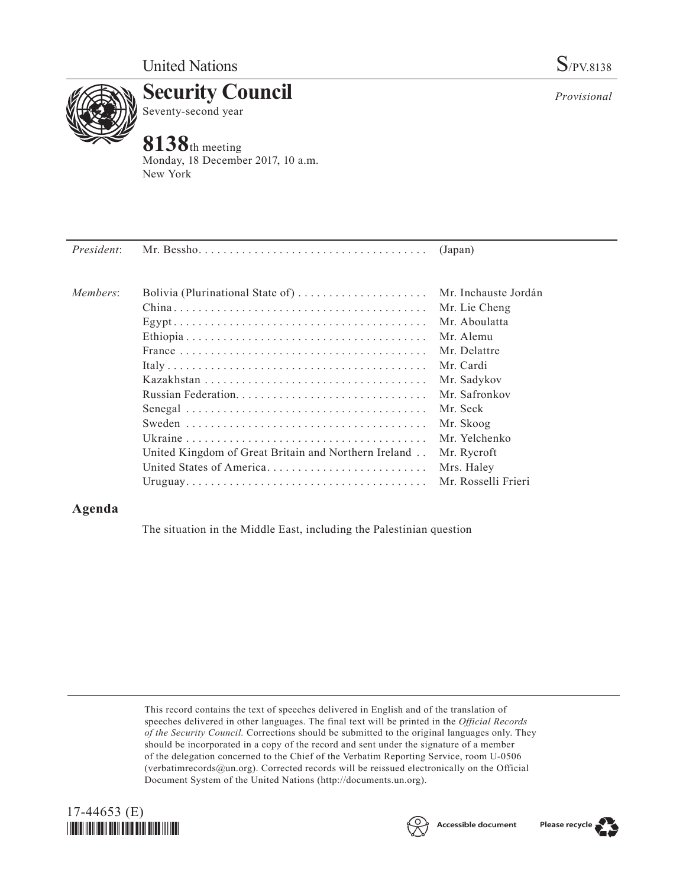

**Security Council** Seventy-second year

## **8138**th meeting

Monday, 18 December 2017, 10 a.m. New York

| President: |                                                      | (Japan)              |
|------------|------------------------------------------------------|----------------------|
| Members:   | Bolivia (Plurinational State of)                     | Mr. Inchauste Jordán |
|            |                                                      | Mr. Lie Cheng        |
|            |                                                      | Mr. Aboulatta        |
|            |                                                      | Mr. Alemu            |
|            |                                                      | Mr. Delattre         |
|            |                                                      | Mr. Cardi            |
|            |                                                      | Mr. Sadykov          |
|            |                                                      | Mr. Safronkov        |
|            |                                                      | Mr. Seck             |
|            |                                                      | Mr. Skoog            |
|            |                                                      | Mr. Yelchenko        |
|            | United Kingdom of Great Britain and Northern Ireland | Mr. Rycroft          |
|            | United States of America                             | Mrs. Haley           |
|            |                                                      | Mr. Rosselli Frieri  |

## **Agenda**

The situation in the Middle East, including the Palestinian question

This record contains the text of speeches delivered in English and of the translation of speeches delivered in other languages. The final text will be printed in the *Official Records of the Security Council.* Corrections should be submitted to the original languages only. They should be incorporated in a copy of the record and sent under the signature of a member of the delegation concerned to the Chief of the Verbatim Reporting Service, room U-0506 (verbatimrecords $@un.org$ ). Corrected records will be reissued electronically on the Official Document System of the United Nations [\(http://documents.un.org\)](http://documents.un.org).





*Provisional*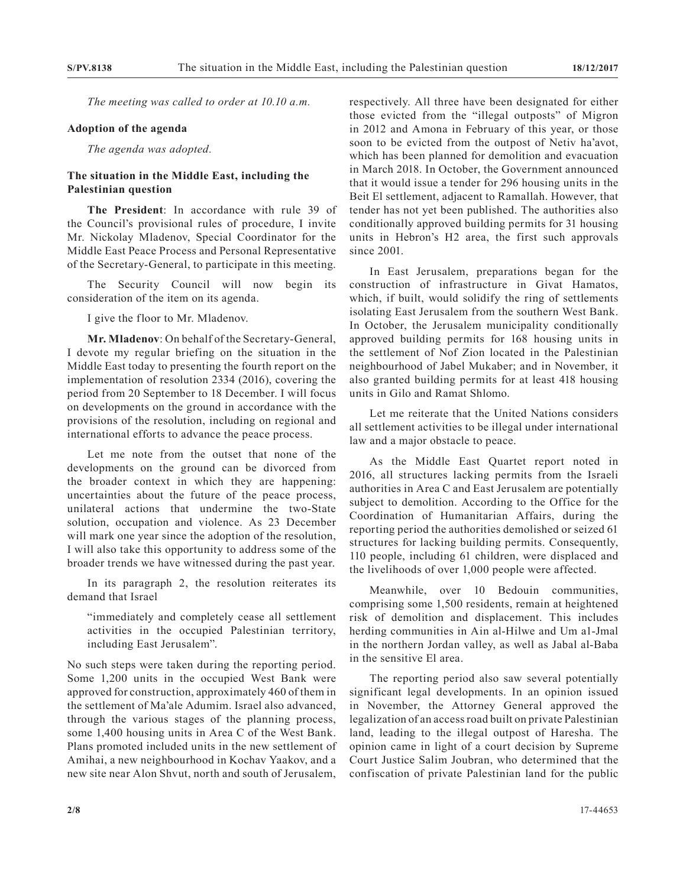*The meeting was called to order at 10.10 a.m.*

## **Adoption of the agenda**

*The agenda was adopted.*

## **The situation in the Middle East, including the Palestinian question**

**The President**: In accordance with rule 39 of the Council's provisional rules of procedure, I invite Mr. Nickolay Mladenov, Special Coordinator for the Middle East Peace Process and Personal Representative of the Secretary-General, to participate in this meeting.

The Security Council will now begin its consideration of the item on its agenda.

I give the floor to Mr. Mladenov.

**Mr. Mladenov**: On behalf of the Secretary-General, I devote my regular briefing on the situation in the Middle East today to presenting the fourth report on the implementation of resolution 2334 (2016), covering the period from 20 September to 18 December. I will focus on developments on the ground in accordance with the provisions of the resolution, including on regional and international efforts to advance the peace process.

Let me note from the outset that none of the developments on the ground can be divorced from the broader context in which they are happening: uncertainties about the future of the peace process, unilateral actions that undermine the two-State solution, occupation and violence. As 23 December will mark one year since the adoption of the resolution, I will also take this opportunity to address some of the broader trends we have witnessed during the past year.

In its paragraph 2, the resolution reiterates its demand that Israel

"immediately and completely cease all settlement activities in the occupied Palestinian territory, including East Jerusalem".

No such steps were taken during the reporting period. Some 1,200 units in the occupied West Bank were approved for construction, approximately 460 of them in the settlement of Ma'ale Adumim. Israel also advanced, through the various stages of the planning process, some 1,400 housing units in Area C of the West Bank. Plans promoted included units in the new settlement of Amihai, a new neighbourhood in Kochav Yaakov, and a new site near Alon Shvut, north and south of Jerusalem,

respectively. All three have been designated for either those evicted from the "illegal outposts" of Migron in 2012 and Amona in February of this year, or those soon to be evicted from the outpost of Netiv ha'avot, which has been planned for demolition and evacuation in March 2018. In October, the Government announced that it would issue a tender for 296 housing units in the Beit El settlement, adjacent to Ramallah. However, that tender has not yet been published. The authorities also conditionally approved building permits for 31 housing units in Hebron's H2 area, the first such approvals since 2001.

In East Jerusalem, preparations began for the construction of infrastructure in Givat Hamatos, which, if built, would solidify the ring of settlements isolating East Jerusalem from the southern West Bank. In October, the Jerusalem municipality conditionally approved building permits for 168 housing units in the settlement of Nof Zion located in the Palestinian neighbourhood of Jabel Mukaber; and in November, it also granted building permits for at least 418 housing units in Gilo and Ramat Shlomo.

Let me reiterate that the United Nations considers all settlement activities to be illegal under international law and a major obstacle to peace.

As the Middle East Quartet report noted in 2016, all structures lacking permits from the Israeli authorities in Area C and East Jerusalem are potentially subject to demolition. According to the Office for the Coordination of Humanitarian Affairs, during the reporting period the authorities demolished or seized 61 structures for lacking building permits. Consequently, 110 people, including 61 children, were displaced and the livelihoods of over 1,000 people were affected.

Meanwhile, over 10 Bedouin communities, comprising some 1,500 residents, remain at heightened risk of demolition and displacement. This includes herding communities in Ain al-Hilwe and Um a1-Jmal in the northern Jordan valley, as well as Jabal al-Baba in the sensitive El area.

The reporting period also saw several potentially significant legal developments. In an opinion issued in November, the Attorney General approved the legalization of an access road built on private Palestinian land, leading to the illegal outpost of Haresha. The opinion came in light of a court decision by Supreme Court Justice Salim Joubran, who determined that the confiscation of private Palestinian land for the public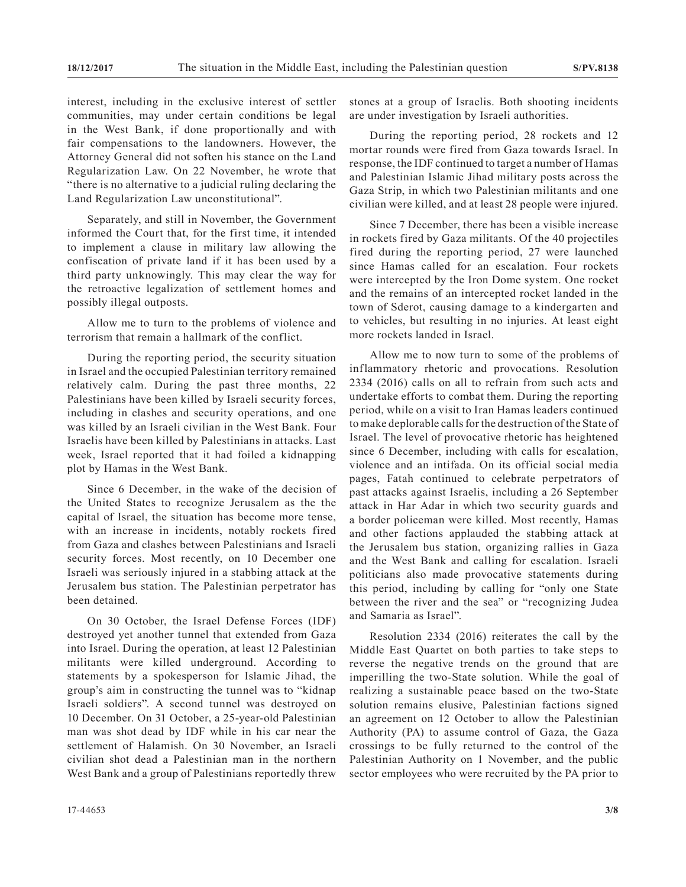interest, including in the exclusive interest of settler communities, may under certain conditions be legal in the West Bank, if done proportionally and with fair compensations to the landowners. However, the Attorney General did not soften his stance on the Land Regularization Law. On 22 November, he wrote that "there is no alternative to a judicial ruling declaring the Land Regularization Law unconstitutional".

Separately, and still in November, the Government informed the Court that, for the first time, it intended to implement a clause in military law allowing the confiscation of private land if it has been used by a third party unknowingly. This may clear the way for the retroactive legalization of settlement homes and possibly illegal outposts.

Allow me to turn to the problems of violence and terrorism that remain a hallmark of the conflict.

During the reporting period, the security situation in Israel and the occupied Palestinian territory remained relatively calm. During the past three months, 22 Palestinians have been killed by Israeli security forces, including in clashes and security operations, and one was killed by an Israeli civilian in the West Bank. Four Israelis have been killed by Palestinians in attacks. Last week, Israel reported that it had foiled a kidnapping plot by Hamas in the West Bank.

Since 6 December, in the wake of the decision of the United States to recognize Jerusalem as the the capital of Israel, the situation has become more tense, with an increase in incidents, notably rockets fired from Gaza and clashes between Palestinians and Israeli security forces. Most recently, on 10 December one Israeli was seriously injured in a stabbing attack at the Jerusalem bus station. The Palestinian perpetrator has been detained.

On 30 October, the Israel Defense Forces (IDF) destroyed yet another tunnel that extended from Gaza into Israel. During the operation, at least 12 Palestinian militants were killed underground. According to statements by a spokesperson for Islamic Jihad, the group's aim in constructing the tunnel was to "kidnap Israeli soldiers". A second tunnel was destroyed on 10 December. On 31 October, a 25-year-old Palestinian man was shot dead by IDF while in his car near the settlement of Halamish. On 30 November, an Israeli civilian shot dead a Palestinian man in the northern West Bank and a group of Palestinians reportedly threw

stones at a group of Israelis. Both shooting incidents are under investigation by Israeli authorities.

During the reporting period, 28 rockets and 12 mortar rounds were fired from Gaza towards Israel. In response, the IDF continued to target a number of Hamas and Palestinian Islamic Jihad military posts across the Gaza Strip, in which two Palestinian militants and one civilian were killed, and at least 28 people were injured.

Since 7 December, there has been a visible increase in rockets fired by Gaza militants. Of the 40 projectiles fired during the reporting period, 27 were launched since Hamas called for an escalation. Four rockets were intercepted by the Iron Dome system. One rocket and the remains of an intercepted rocket landed in the town of Sderot, causing damage to a kindergarten and to vehicles, but resulting in no injuries. At least eight more rockets landed in Israel.

Allow me to now turn to some of the problems of inflammatory rhetoric and provocations. Resolution 2334 (2016) calls on all to refrain from such acts and undertake efforts to combat them. During the reporting period, while on a visit to Iran Hamas leaders continued to make deplorable calls for the destruction of the State of Israel. The level of provocative rhetoric has heightened since 6 December, including with calls for escalation, violence and an intifada. On its official social media pages, Fatah continued to celebrate perpetrators of past attacks against Israelis, including a 26 September attack in Har Adar in which two security guards and a border policeman were killed. Most recently, Hamas and other factions applauded the stabbing attack at the Jerusalem bus station, organizing rallies in Gaza and the West Bank and calling for escalation. Israeli politicians also made provocative statements during this period, including by calling for "only one State between the river and the sea" or "recognizing Judea and Samaria as Israel".

Resolution 2334 (2016) reiterates the call by the Middle East Quartet on both parties to take steps to reverse the negative trends on the ground that are imperilling the two-State solution. While the goal of realizing a sustainable peace based on the two-State solution remains elusive, Palestinian factions signed an agreement on 12 October to allow the Palestinian Authority (PA) to assume control of Gaza, the Gaza crossings to be fully returned to the control of the Palestinian Authority on 1 November, and the public sector employees who were recruited by the PA prior to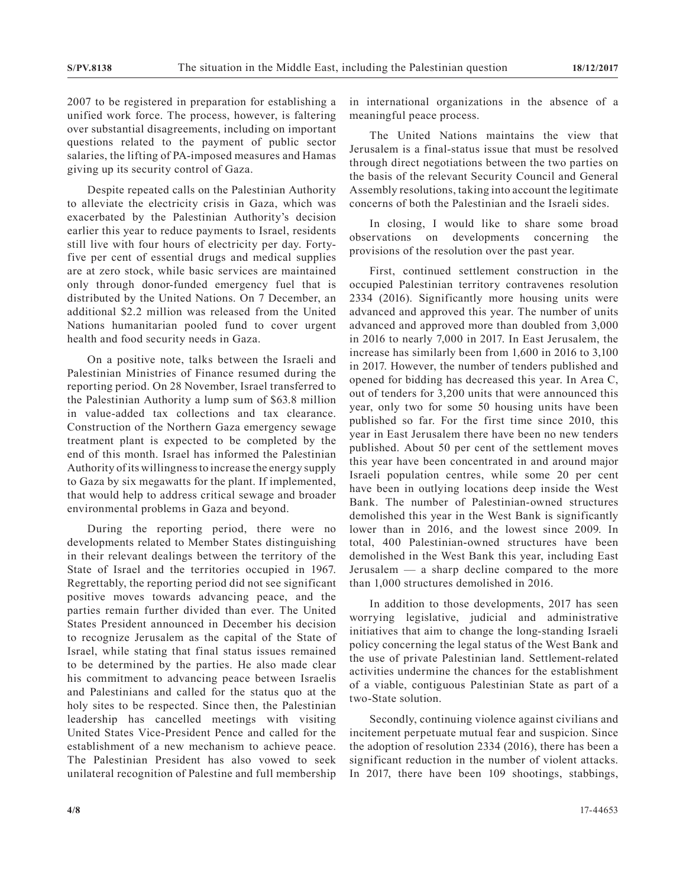2007 to be registered in preparation for establishing a unified work force. The process, however, is faltering over substantial disagreements, including on important questions related to the payment of public sector salaries, the lifting of PA-imposed measures and Hamas giving up its security control of Gaza.

Despite repeated calls on the Palestinian Authority to alleviate the electricity crisis in Gaza, which was exacerbated by the Palestinian Authority's decision earlier this year to reduce payments to Israel, residents still live with four hours of electricity per day. Fortyfive per cent of essential drugs and medical supplies are at zero stock, while basic services are maintained only through donor-funded emergency fuel that is distributed by the United Nations. On 7 December, an additional \$2.2 million was released from the United Nations humanitarian pooled fund to cover urgent health and food security needs in Gaza.

On a positive note, talks between the Israeli and Palestinian Ministries of Finance resumed during the reporting period. On 28 November, Israel transferred to the Palestinian Authority a lump sum of \$63.8 million in value-added tax collections and tax clearance. Construction of the Northern Gaza emergency sewage treatment plant is expected to be completed by the end of this month. Israel has informed the Palestinian Authority of its willingness to increase the energy supply to Gaza by six megawatts for the plant. If implemented, that would help to address critical sewage and broader environmental problems in Gaza and beyond.

During the reporting period, there were no developments related to Member States distinguishing in their relevant dealings between the territory of the State of Israel and the territories occupied in 1967. Regrettably, the reporting period did not see significant positive moves towards advancing peace, and the parties remain further divided than ever. The United States President announced in December his decision to recognize Jerusalem as the capital of the State of Israel, while stating that final status issues remained to be determined by the parties. He also made clear his commitment to advancing peace between Israelis and Palestinians and called for the status quo at the holy sites to be respected. Since then, the Palestinian leadership has cancelled meetings with visiting United States Vice-President Pence and called for the establishment of a new mechanism to achieve peace. The Palestinian President has also vowed to seek unilateral recognition of Palestine and full membership in international organizations in the absence of a meaningful peace process.

The United Nations maintains the view that Jerusalem is a final-status issue that must be resolved through direct negotiations between the two parties on the basis of the relevant Security Council and General Assembly resolutions, taking into account the legitimate concerns of both the Palestinian and the Israeli sides.

In closing, I would like to share some broad observations on developments concerning the provisions of the resolution over the past year.

First, continued settlement construction in the occupied Palestinian territory contravenes resolution 2334 (2016). Significantly more housing units were advanced and approved this year. The number of units advanced and approved more than doubled from 3,000 in 2016 to nearly 7,000 in 2017. In East Jerusalem, the increase has similarly been from 1,600 in 2016 to 3,100 in 2017. However, the number of tenders published and opened for bidding has decreased this year. In Area C, out of tenders for 3,200 units that were announced this year, only two for some 50 housing units have been published so far. For the first time since 2010, this year in East Jerusalem there have been no new tenders published. About 50 per cent of the settlement moves this year have been concentrated in and around major Israeli population centres, while some 20 per cent have been in outlying locations deep inside the West Bank. The number of Palestinian-owned structures demolished this year in the West Bank is significantly lower than in 2016, and the lowest since 2009. In total, 400 Palestinian-owned structures have been demolished in the West Bank this year, including East Jerusalem — a sharp decline compared to the more than 1,000 structures demolished in 2016.

In addition to those developments, 2017 has seen worrying legislative, judicial and administrative initiatives that aim to change the long-standing Israeli policy concerning the legal status of the West Bank and the use of private Palestinian land. Settlement-related activities undermine the chances for the establishment of a viable, contiguous Palestinian State as part of a two-State solution.

Secondly, continuing violence against civilians and incitement perpetuate mutual fear and suspicion. Since the adoption of resolution 2334 (2016), there has been a significant reduction in the number of violent attacks. In 2017, there have been 109 shootings, stabbings,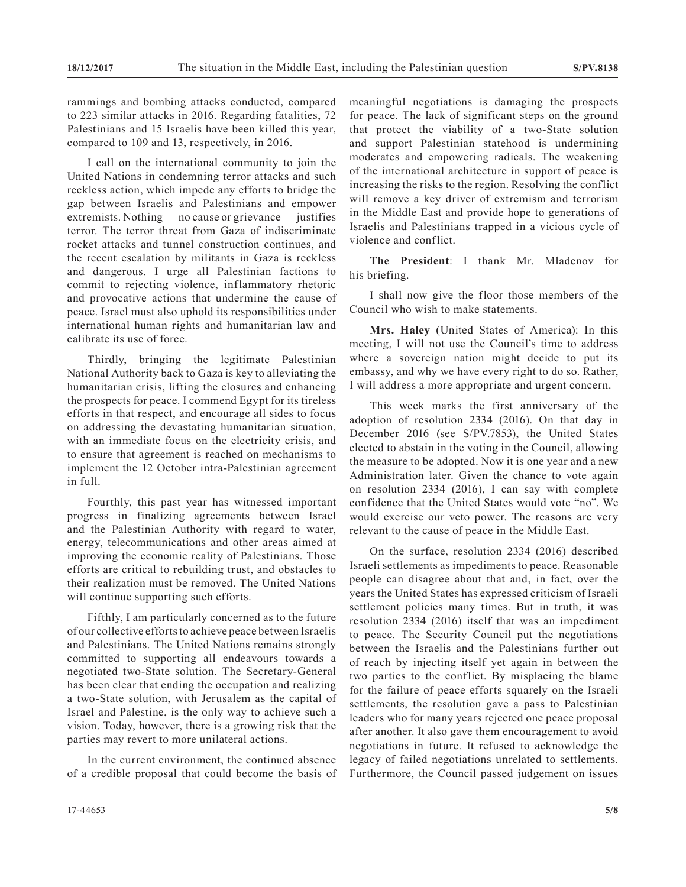rammings and bombing attacks conducted, compared to 223 similar attacks in 2016. Regarding fatalities, 72 Palestinians and 15 Israelis have been killed this year, compared to 109 and 13, respectively, in 2016.

I call on the international community to join the United Nations in condemning terror attacks and such reckless action, which impede any efforts to bridge the gap between Israelis and Palestinians and empower extremists. Nothing — no cause or grievance — justifies terror. The terror threat from Gaza of indiscriminate rocket attacks and tunnel construction continues, and the recent escalation by militants in Gaza is reckless and dangerous. I urge all Palestinian factions to commit to rejecting violence, inflammatory rhetoric and provocative actions that undermine the cause of peace. Israel must also uphold its responsibilities under international human rights and humanitarian law and calibrate its use of force.

Thirdly, bringing the legitimate Palestinian National Authority back to Gaza is key to alleviating the humanitarian crisis, lifting the closures and enhancing the prospects for peace. I commend Egypt for its tireless efforts in that respect, and encourage all sides to focus on addressing the devastating humanitarian situation, with an immediate focus on the electricity crisis, and to ensure that agreement is reached on mechanisms to implement the 12 October intra-Palestinian agreement in full.

Fourthly, this past year has witnessed important progress in finalizing agreements between Israel and the Palestinian Authority with regard to water, energy, telecommunications and other areas aimed at improving the economic reality of Palestinians. Those efforts are critical to rebuilding trust, and obstacles to their realization must be removed. The United Nations will continue supporting such efforts.

Fifthly, I am particularly concerned as to the future of our collective efforts to achieve peace between Israelis and Palestinians. The United Nations remains strongly committed to supporting all endeavours towards a negotiated two-State solution. The Secretary-General has been clear that ending the occupation and realizing a two-State solution, with Jerusalem as the capital of Israel and Palestine, is the only way to achieve such a vision. Today, however, there is a growing risk that the parties may revert to more unilateral actions.

In the current environment, the continued absence of a credible proposal that could become the basis of meaningful negotiations is damaging the prospects for peace. The lack of significant steps on the ground that protect the viability of a two-State solution and support Palestinian statehood is undermining moderates and empowering radicals. The weakening of the international architecture in support of peace is increasing the risks to the region. Resolving the conflict will remove a key driver of extremism and terrorism in the Middle East and provide hope to generations of Israelis and Palestinians trapped in a vicious cycle of violence and conflict.

**The President**: I thank Mr. Mladenov for his briefing.

I shall now give the floor those members of the Council who wish to make statements.

**Mrs. Haley** (United States of America): In this meeting, I will not use the Council's time to address where a sovereign nation might decide to put its embassy, and why we have every right to do so. Rather, I will address a more appropriate and urgent concern.

This week marks the first anniversary of the adoption of resolution 2334 (2016). On that day in December 2016 (see S/PV.7853), the United States elected to abstain in the voting in the Council, allowing the measure to be adopted. Now it is one year and a new Administration later. Given the chance to vote again on resolution 2334 (2016), I can say with complete confidence that the United States would vote "no". We would exercise our veto power. The reasons are very relevant to the cause of peace in the Middle East.

On the surface, resolution 2334 (2016) described Israeli settlements as impediments to peace. Reasonable people can disagree about that and, in fact, over the years the United States has expressed criticism of Israeli settlement policies many times. But in truth, it was resolution 2334 (2016) itself that was an impediment to peace. The Security Council put the negotiations between the Israelis and the Palestinians further out of reach by injecting itself yet again in between the two parties to the conflict. By misplacing the blame for the failure of peace efforts squarely on the Israeli settlements, the resolution gave a pass to Palestinian leaders who for many years rejected one peace proposal after another. It also gave them encouragement to avoid negotiations in future. It refused to acknowledge the legacy of failed negotiations unrelated to settlements. Furthermore, the Council passed judgement on issues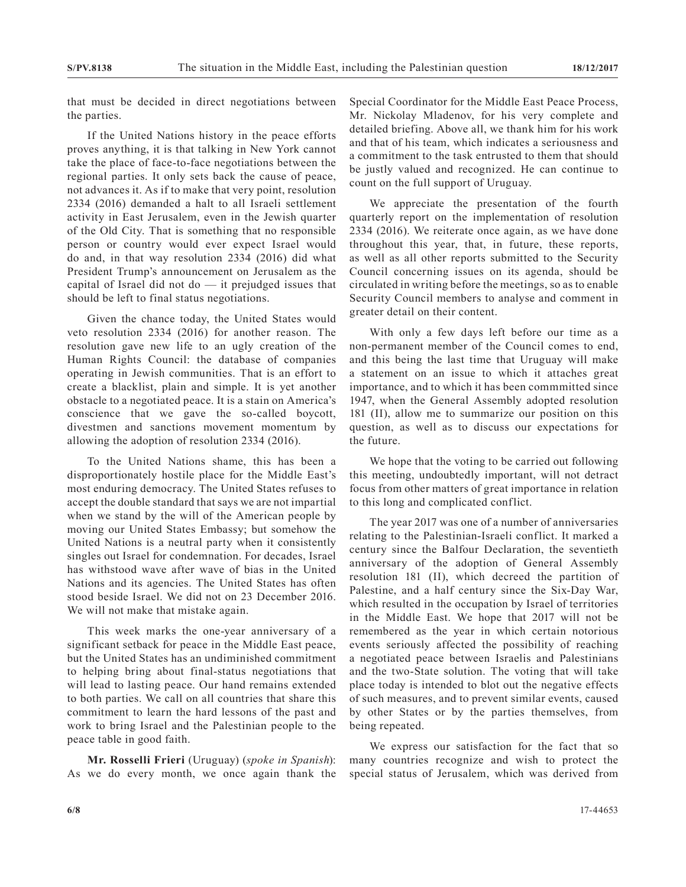that must be decided in direct negotiations between the parties.

If the United Nations history in the peace efforts proves anything, it is that talking in New York cannot take the place of face-to-face negotiations between the regional parties. It only sets back the cause of peace, not advances it. As if to make that very point, resolution 2334 (2016) demanded a halt to all Israeli settlement activity in East Jerusalem, even in the Jewish quarter of the Old City. That is something that no responsible person or country would ever expect Israel would do and, in that way resolution 2334 (2016) did what President Trump's announcement on Jerusalem as the capital of Israel did not do — it prejudged issues that should be left to final status negotiations.

Given the chance today, the United States would veto resolution 2334 (2016) for another reason. The resolution gave new life to an ugly creation of the Human Rights Council: the database of companies operating in Jewish communities. That is an effort to create a blacklist, plain and simple. It is yet another obstacle to a negotiated peace. It is a stain on America's conscience that we gave the so-called boycott, divestmen and sanctions movement momentum by allowing the adoption of resolution 2334 (2016).

To the United Nations shame, this has been a disproportionately hostile place for the Middle East's most enduring democracy. The United States refuses to accept the double standard that says we are not impartial when we stand by the will of the American people by moving our United States Embassy; but somehow the United Nations is a neutral party when it consistently singles out Israel for condemnation. For decades, Israel has withstood wave after wave of bias in the United Nations and its agencies. The United States has often stood beside Israel. We did not on 23 December 2016. We will not make that mistake again.

This week marks the one-year anniversary of a significant setback for peace in the Middle East peace, but the United States has an undiminished commitment to helping bring about final-status negotiations that will lead to lasting peace. Our hand remains extended to both parties. We call on all countries that share this commitment to learn the hard lessons of the past and work to bring Israel and the Palestinian people to the peace table in good faith.

**Mr. Rosselli Frieri** (Uruguay) (*spoke in Spanish*): As we do every month, we once again thank the Special Coordinator for the Middle East Peace Process, Mr. Nickolay Mladenov, for his very complete and detailed briefing. Above all, we thank him for his work and that of his team, which indicates a seriousness and a commitment to the task entrusted to them that should be justly valued and recognized. He can continue to count on the full support of Uruguay.

We appreciate the presentation of the fourth quarterly report on the implementation of resolution 2334 (2016). We reiterate once again, as we have done throughout this year, that, in future, these reports, as well as all other reports submitted to the Security Council concerning issues on its agenda, should be circulated in writing before the meetings, so as to enable Security Council members to analyse and comment in greater detail on their content.

With only a few days left before our time as a non-permanent member of the Council comes to end, and this being the last time that Uruguay will make a statement on an issue to which it attaches great importance, and to which it has been commmitted since 1947, when the General Assembly adopted resolution 181 (II), allow me to summarize our position on this question, as well as to discuss our expectations for the future.

We hope that the voting to be carried out following this meeting, undoubtedly important, will not detract focus from other matters of great importance in relation to this long and complicated conflict.

The year 2017 was one of a number of anniversaries relating to the Palestinian-Israeli conflict. It marked a century since the Balfour Declaration, the seventieth anniversary of the adoption of General Assembly resolution 181 (II), which decreed the partition of Palestine, and a half century since the Six-Day War, which resulted in the occupation by Israel of territories in the Middle East. We hope that 2017 will not be remembered as the year in which certain notorious events seriously affected the possibility of reaching a negotiated peace between Israelis and Palestinians and the two-State solution. The voting that will take place today is intended to blot out the negative effects of such measures, and to prevent similar events, caused by other States or by the parties themselves, from being repeated.

We express our satisfaction for the fact that so many countries recognize and wish to protect the special status of Jerusalem, which was derived from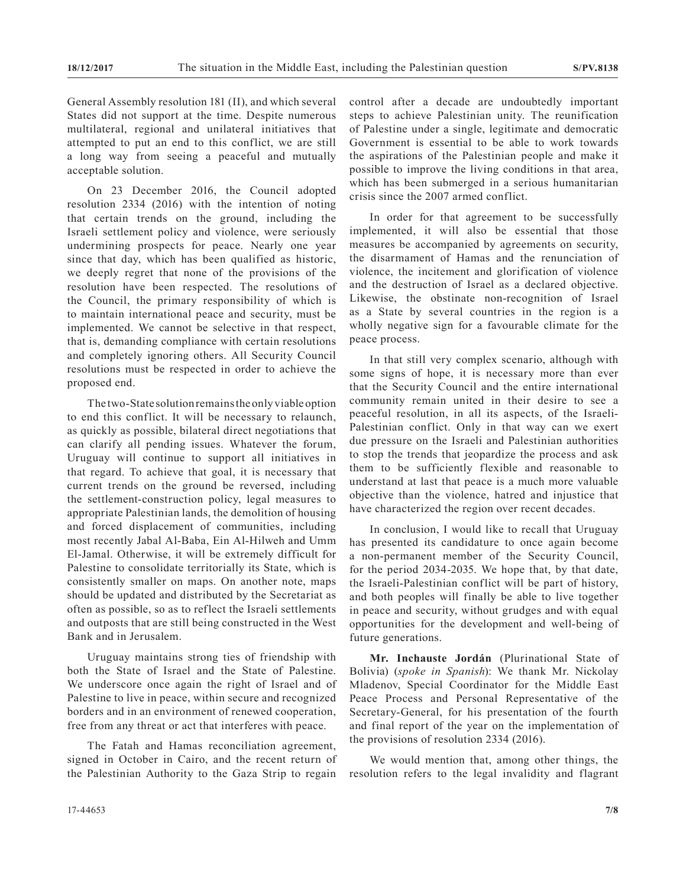General Assembly resolution 181 (II), and which several States did not support at the time. Despite numerous multilateral, regional and unilateral initiatives that attempted to put an end to this conflict, we are still a long way from seeing a peaceful and mutually acceptable solution.

On 23 December 2016, the Council adopted resolution 2334 (2016) with the intention of noting that certain trends on the ground, including the Israeli settlement policy and violence, were seriously undermining prospects for peace. Nearly one year since that day, which has been qualified as historic, we deeply regret that none of the provisions of the resolution have been respected. The resolutions of the Council, the primary responsibility of which is to maintain international peace and security, must be implemented. We cannot be selective in that respect, that is, demanding compliance with certain resolutions and completely ignoring others. All Security Council resolutions must be respected in order to achieve the proposed end.

The two-State solution remains the only viable option to end this conflict. It will be necessary to relaunch, as quickly as possible, bilateral direct negotiations that can clarify all pending issues. Whatever the forum, Uruguay will continue to support all initiatives in that regard. To achieve that goal, it is necessary that current trends on the ground be reversed, including the settlement-construction policy, legal measures to appropriate Palestinian lands, the demolition of housing and forced displacement of communities, including most recently Jabal Al-Baba, Ein Al-Hilweh and Umm El-Jamal. Otherwise, it will be extremely difficult for Palestine to consolidate territorially its State, which is consistently smaller on maps. On another note, maps should be updated and distributed by the Secretariat as often as possible, so as to reflect the Israeli settlements and outposts that are still being constructed in the West Bank and in Jerusalem.

Uruguay maintains strong ties of friendship with both the State of Israel and the State of Palestine. We underscore once again the right of Israel and of Palestine to live in peace, within secure and recognized borders and in an environment of renewed cooperation, free from any threat or act that interferes with peace.

The Fatah and Hamas reconciliation agreement, signed in October in Cairo, and the recent return of the Palestinian Authority to the Gaza Strip to regain

control after a decade are undoubtedly important steps to achieve Palestinian unity. The reunification of Palestine under a single, legitimate and democratic Government is essential to be able to work towards the aspirations of the Palestinian people and make it possible to improve the living conditions in that area, which has been submerged in a serious humanitarian crisis since the 2007 armed conflict.

In order for that agreement to be successfully implemented, it will also be essential that those measures be accompanied by agreements on security, the disarmament of Hamas and the renunciation of violence, the incitement and glorification of violence and the destruction of Israel as a declared objective. Likewise, the obstinate non-recognition of Israel as a State by several countries in the region is a wholly negative sign for a favourable climate for the peace process.

In that still very complex scenario, although with some signs of hope, it is necessary more than ever that the Security Council and the entire international community remain united in their desire to see a peaceful resolution, in all its aspects, of the Israeli-Palestinian conflict. Only in that way can we exert due pressure on the Israeli and Palestinian authorities to stop the trends that jeopardize the process and ask them to be sufficiently flexible and reasonable to understand at last that peace is a much more valuable objective than the violence, hatred and injustice that have characterized the region over recent decades.

In conclusion, I would like to recall that Uruguay has presented its candidature to once again become a non-permanent member of the Security Council, for the period 2034-2035. We hope that, by that date, the Israeli-Palestinian conflict will be part of history, and both peoples will finally be able to live together in peace and security, without grudges and with equal opportunities for the development and well-being of future generations.

**Mr. Inchauste Jordán** (Plurinational State of Bolivia) (*spoke in Spanish*): We thank Mr. Nickolay Mladenov, Special Coordinator for the Middle East Peace Process and Personal Representative of the Secretary-General, for his presentation of the fourth and final report of the year on the implementation of the provisions of resolution 2334 (2016).

We would mention that, among other things, the resolution refers to the legal invalidity and flagrant